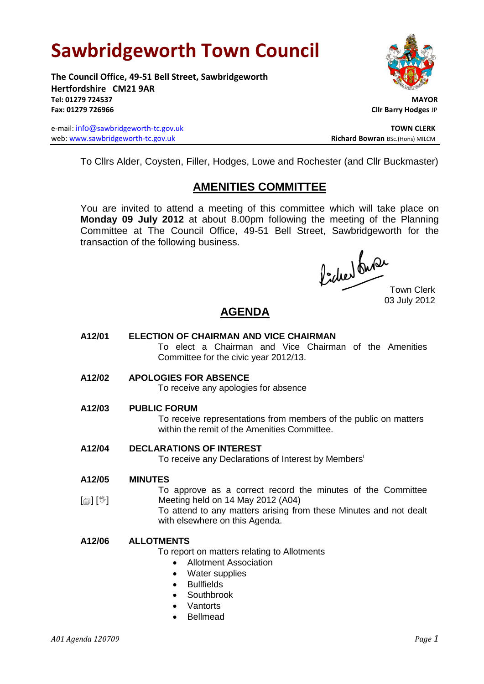# **Sawbridgeworth Town Council**

**The Council Office, 49-51 Bell Street, Sawbridgeworth Hertfordshire CM21 9AR Tel: 01279 724537 MAYOR Fax: 01279 726966 Cllr Barry Hodges** JP

e-mail: info@sawbridgeworth-tc.gov.uk **TOWN CLERK** web: www.sawbridgeworth-tc.gov.uk<br> **Richard Bowran** BSc.(Hons) MILCM



To Cllrs Alder, Coysten, Filler, Hodges, Lowe and Rochester (and Cllr Buckmaster)

### **AMENITIES COMMITTEE**

You are invited to attend a meeting of this committee which will take place on **Monday 09 July 2012** at about 8.00pm following the meeting of the Planning Committee at The Council Office, 49-51 Bell Street, Sawbridgeworth for the transaction of the following business.

Picked Que

Town Clerk 03 July 2012

## **AGENDA**

- **A12/01 ELECTION OF CHAIRMAN AND VICE CHAIRMAN** To elect a Chairman and Vice Chairman of the Amenities Committee for the civic year 2012/13.
- **A12/02 APOLOGIES FOR ABSENCE**

To receive any apologies for absence

**A12/03 PUBLIC FORUM**

To receive representations from members of the public on matters within the remit of the Amenities Committee.

**A12/04 DECLARATIONS OF INTEREST**

To receive any Declarations of Interest by Members<sup>i</sup>

**A12/05 MINUTES**

 $\lceil \blacksquare \rceil$   $\lceil \sqrt[6]{} \rceil$ To approve as a correct record the minutes of the Committee Meeting held on 14 May 2012 (A04)

To attend to any matters arising from these Minutes and not dealt with elsewhere on this Agenda.

#### **A12/06 ALLOTMENTS**

To report on matters relating to Allotments

- Allotment Association
- Water supplies
- Bullfields
- Southbrook
- **Vantorts**
- Bellmead